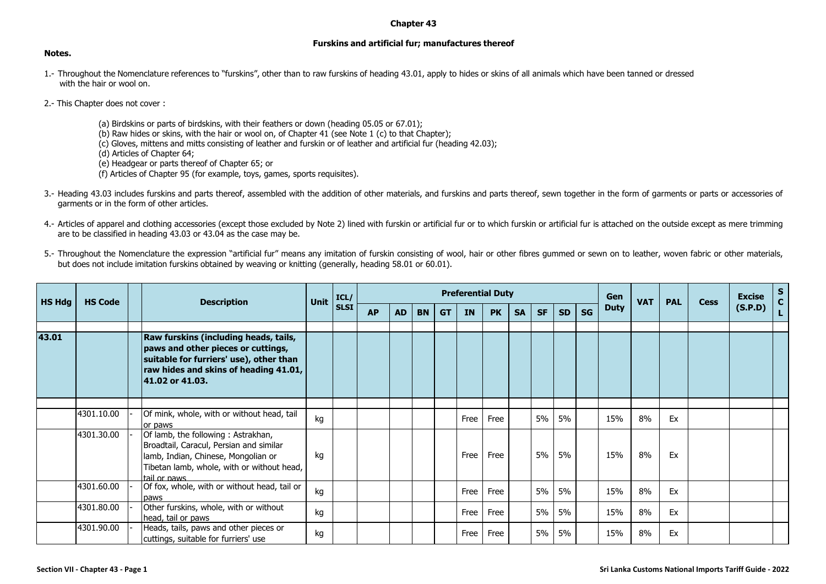## **Chapter 43**

## **Furskins and artificial fur; manufactures thereof**

## **Notes.**

- 1.- Throughout the Nomenclature references to "furskins", other than to raw furskins of heading 43.01, apply to hides or skins of all animals which have been tanned or dressed with the hair or wool on.
- 2.- This Chapter does not cover :
	- (a) Birdskins or parts of birdskins, with their feathers or down (heading 05.05 or 67.01);
	- (b) Raw hides or skins, with the hair or wool on, of Chapter 41 (see Note 1 (c) to that Chapter);
	- (c) Gloves, mittens and mitts consisting of leather and furskin or of leather and artificial fur (heading 42.03);
	- (d) Articles of Chapter 64;
	- (e) Headgear or parts thereof of Chapter 65; or
	- (f) Articles of Chapter 95 (for example, toys, games, sports requisites).
- 3.- Heading 43.03 includes furskins and parts thereof, assembled with the addition of other materials, and furskins and parts thereof, sewn together in the form of garments or parts or accessories of garments or in the form of other articles.
- 4.- Articles of apparel and clothing accessories (except those excluded by Note 2) lined with furskin or artificial fur or to which furskin or artificial fur is attached on the outside except as mere trimming are to be classified in heading 43.03 or 43.04 as the case may be.
- 5.- Throughout the Nomenclature the expression "artificial fur" means any imitation of furskin consisting of wool, hair or other fibres gummed or sewn on to leather, woven fabric or other materials, but does not include imitation furskins obtained by weaving or knitting (generally, heading 58.01 or 60.01).

| <b>HS Hdg</b> | <b>HS Code</b> | <b>Description</b>                                                                                                                                                                 | <b>Unit</b> | ICL/<br><b>SLSI</b> | <b>Preferential Duty</b> |           |           |           |           |           |           |           |           | Gen       | <b>VAT</b>  | <b>PAL</b> | <b>Cess</b> | <b>Excise</b> | S       |  |
|---------------|----------------|------------------------------------------------------------------------------------------------------------------------------------------------------------------------------------|-------------|---------------------|--------------------------|-----------|-----------|-----------|-----------|-----------|-----------|-----------|-----------|-----------|-------------|------------|-------------|---------------|---------|--|
|               |                |                                                                                                                                                                                    |             |                     | <b>AP</b>                | <b>AD</b> | <b>BN</b> | <b>GT</b> | <b>IN</b> | <b>PK</b> | <b>SA</b> | <b>SF</b> | <b>SD</b> | <b>SG</b> | <b>Duty</b> |            |             |               | (S.P.D) |  |
| 43.01         |                | Raw furskins (including heads, tails,<br>paws and other pieces or cuttings,<br>suitable for furriers' use), other than<br>raw hides and skins of heading 41.01,<br>41.02 or 41.03. |             |                     |                          |           |           |           |           |           |           |           |           |           |             |            |             |               |         |  |
|               |                |                                                                                                                                                                                    |             |                     |                          |           |           |           |           |           |           |           |           |           |             |            |             |               |         |  |
|               | 4301.10.00     | Of mink, whole, with or without head, tail<br>or paws                                                                                                                              | kg          |                     |                          |           |           |           | Free      | Free      |           | 5%        | 5%        |           | 15%         | 8%         | Ex          |               |         |  |
|               | 4301.30.00     | Of lamb, the following: Astrakhan,<br>Broadtail, Caracul, Persian and similar<br>lamb, Indian, Chinese, Mongolian or<br>Tibetan lamb, whole, with or without head,<br>tail or naws | kg          |                     |                          |           |           |           | Free      | Free      |           | 5%        | 5%        |           | 15%         | 8%         | Ex          |               |         |  |
|               | 4301.60.00     | Of fox, whole, with or without head, tail or<br>paws                                                                                                                               | kg          |                     |                          |           |           |           | Free      | Free      |           | 5%        | 5%        |           | 15%         | 8%         | Ex          |               |         |  |
|               | 4301.80.00     | Other furskins, whole, with or without<br>head, tail or paws                                                                                                                       | kg          |                     |                          |           |           |           | Free      | Free      |           | 5%        | 5%        |           | 15%         | 8%         | Ex          |               |         |  |
|               | 4301.90.00     | Heads, tails, paws and other pieces or<br>cuttings, suitable for furriers' use                                                                                                     | kg          |                     |                          |           |           |           | Free      | Free      |           | 5%        | 5%        |           | 15%         | 8%         | Ex          |               |         |  |